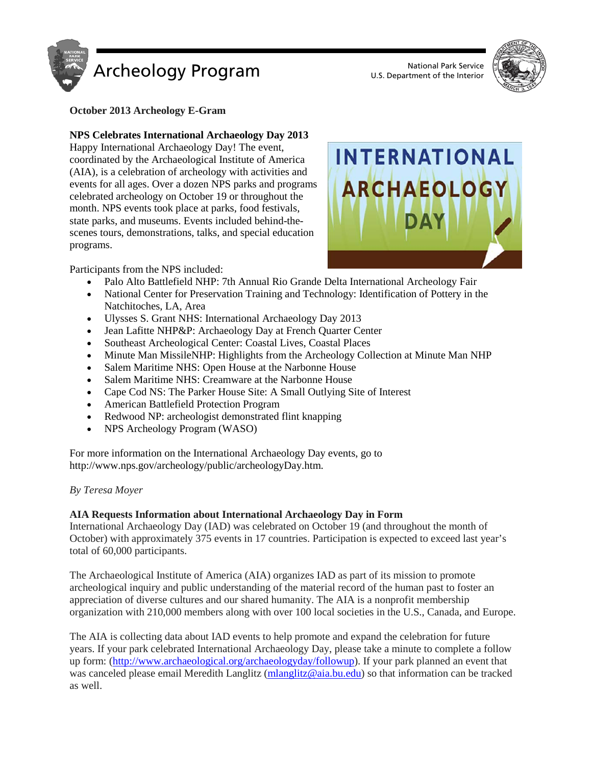



**October 2013 Archeology E-Gram**

# **NPS Celebrates International Archaeology Day 2013**

Happy International Archaeology Day! The event, coordinated by the Archaeological Institute of America (AIA), is a celebration of archeology with activities and events for all ages. Over a dozen NPS parks and programs celebrated archeology on October 19 or throughout the month. NPS events took place at parks, food festivals, state parks, and museums. Events included behind-thescenes tours, demonstrations, talks, and special education programs.



Participants from the NPS included:

- Palo Alto Battlefield NHP: 7th Annual Rio Grande Delta International Archeology Fair
- National Center for Preservation Training and Technology: Identification of Pottery in the Natchitoches, LA, Area
- Ulysses S. Grant NHS: International Archaeology Day 2013
- Jean Lafitte NHP&P: Archaeology Day at French Quarter Center
- Southeast Archeological Center: Coastal Lives, Coastal Places
- Minute Man MissileNHP: Highlights from the Archeology Collection at Minute Man NHP
- Salem Maritime NHS: Open House at the Narbonne House
- Salem Maritime NHS: Creamware at the Narbonne House
- Cape Cod NS: The Parker House Site: A Small Outlying Site of Interest
- American Battlefield Protection Program
- Redwood NP: archeologist demonstrated flint knapping
- NPS Archeology Program (WASO)

For more information on the International Archaeology Day events, go to http://www.nps.gov/archeology/public/archeologyDay.htm.

### *By Teresa Moyer*

# **AIA Requests Information about International Archaeology Day in Form**

International Archaeology Day (IAD) was celebrated on October 19 (and throughout the month of October) with approximately 375 events in 17 countries. Participation is expected to exceed last year's total of 60,000 participants.

The Archaeological Institute of America (AIA) organizes IAD as part of its mission to promote archeological inquiry and public understanding of the material record of the human past to foster an appreciation of diverse cultures and our shared humanity. The AIA is a nonprofit membership organization with 210,000 members along with over 100 local societies in the U.S., Canada, and Europe.

The AIA is collecting data about IAD events to help promote and expand the celebration for future years. If your park celebrated International Archaeology Day, please take a minute to complete a follow up form: [\(http://www.archaeological.org/archaeologyday/followup\)](http://www.archaeological.org/archaeologyday/followup). If your park planned an event that was canceled please email Meredith Langlitz [\(mlanglitz@aia.bu.edu\)](mailto:mlanglitz@aia.bu.edu) so that information can be tracked as well.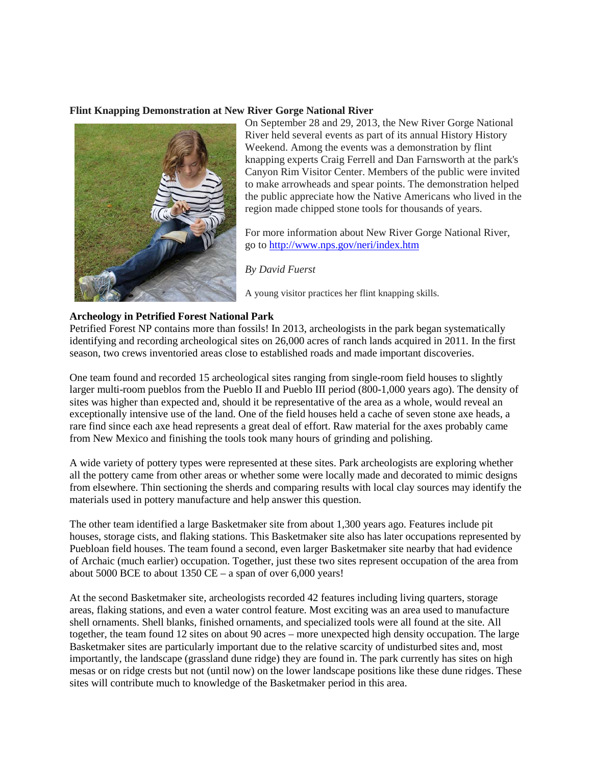### **Flint Knapping Demonstration at New River Gorge National River**



On September 28 and 29, 2013, the New River Gorge National River held several events as part of its annual History History Weekend. Among the events was a demonstration by flint knapping experts Craig Ferrell and Dan Farnsworth at the park's Canyon Rim Visitor Center. Members of the public were invited to make arrowheads and spear points. The demonstration helped the public appreciate how the Native Americans who lived in the region made chipped stone tools for thousands of years.

For more information about New River Gorge National River, go to<http://www.nps.gov/neri/index.htm>

*By David Fuerst*

A young visitor practices her flint knapping skills.

### **Archeology in Petrified Forest National Park**

Petrified Forest NP contains more than fossils! In 2013, archeologists in the park began systematically identifying and recording archeological sites on 26,000 acres of ranch lands acquired in 2011. In the first season, two crews inventoried areas close to established roads and made important discoveries.

One team found and recorded 15 archeological sites ranging from single-room field houses to slightly larger multi-room pueblos from the Pueblo II and Pueblo III period (800-1,000 years ago). The density of sites was higher than expected and, should it be representative of the area as a whole, would reveal an exceptionally intensive use of the land. One of the field houses held a cache of seven stone axe heads, a rare find since each axe head represents a great deal of effort. Raw material for the axes probably came from New Mexico and finishing the tools took many hours of grinding and polishing.

A wide variety of pottery types were represented at these sites. Park archeologists are exploring whether all the pottery came from other areas or whether some were locally made and decorated to mimic designs from elsewhere. Thin sectioning the sherds and comparing results with local clay sources may identify the materials used in pottery manufacture and help answer this question.

The other team identified a large Basketmaker site from about 1,300 years ago. Features include pit houses, storage cists, and flaking stations. This Basketmaker site also has later occupations represented by Puebloan field houses. The team found a second, even larger Basketmaker site nearby that had evidence of Archaic (much earlier) occupation. Together, just these two sites represent occupation of the area from about 5000 BCE to about 1350 CE – a span of over 6,000 years!

At the second Basketmaker site, archeologists recorded 42 features including living quarters, storage areas, flaking stations, and even a water control feature. Most exciting was an area used to manufacture shell ornaments. Shell blanks, finished ornaments, and specialized tools were all found at the site. All together, the team found 12 sites on about 90 acres – more unexpected high density occupation. The large Basketmaker sites are particularly important due to the relative scarcity of undisturbed sites and, most importantly, the landscape (grassland dune ridge) they are found in. The park currently has sites on high mesas or on ridge crests but not (until now) on the lower landscape positions like these dune ridges. These sites will contribute much to knowledge of the Basketmaker period in this area.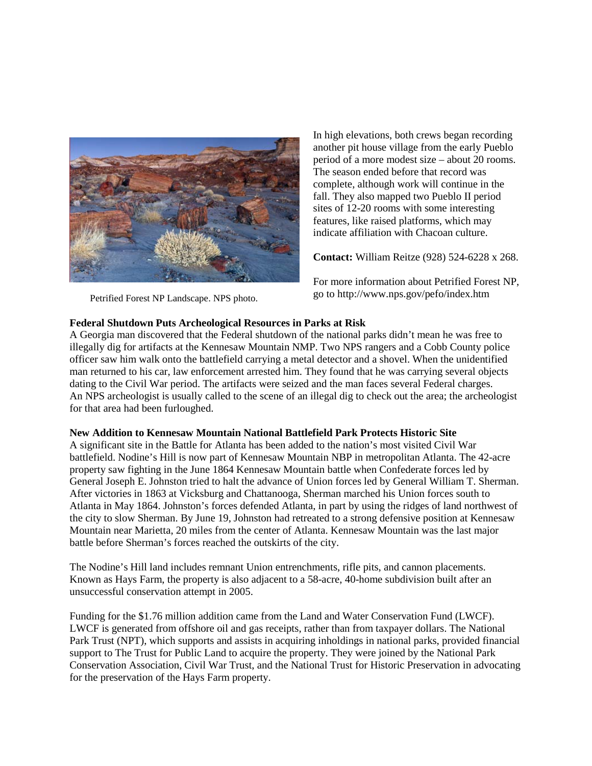

Petrified Forest NP Landscape. NPS photo.

In high elevations, both crews began recording another pit house village from the early Pueblo period of a more modest size – about 20 rooms. The season ended before that record was complete, although work will continue in the fall. They also mapped two Pueblo II period sites of 12-20 rooms with some interesting features, like raised platforms, which may indicate affiliation with Chacoan culture.

**Contact:** William Reitze (928) 524-6228 x 268.

For more information about Petrified Forest NP, go to http://www.nps.gov/pefo/index.htm

## **Federal Shutdown Puts Archeological Resources in Parks at Risk**

A Georgia man discovered that the Federal shutdown of the national parks didn't mean he was free to illegally dig for artifacts at the Kennesaw Mountain NMP. Two NPS rangers and a Cobb County police officer saw him walk onto the battlefield carrying a metal detector and a shovel. When the unidentified man returned to his car, law enforcement arrested him. They found that he was carrying several objects dating to the Civil War period. The artifacts were seized and the man faces several Federal charges. An NPS archeologist is usually called to the scene of an illegal dig to check out the area; the archeologist for that area had been furloughed.

### **New Addition to Kennesaw Mountain National Battlefield Park Protects Historic Site**

A significant site in the Battle for Atlanta has been added to the nation's most visited Civil War battlefield. Nodine's Hill is now part of Kennesaw Mountain NBP in metropolitan Atlanta. The 42-acre property saw fighting in the June 1864 Kennesaw Mountain battle when Confederate forces led by General Joseph E. Johnston tried to halt the advance of Union forces led by General William T. Sherman. After victories in 1863 at Vicksburg and Chattanooga, Sherman marched his Union forces south to Atlanta in May 1864. Johnston's forces defended Atlanta, in part by using the ridges of land northwest of the city to slow Sherman. By June 19, Johnston had retreated to a strong defensive position at Kennesaw Mountain near Marietta, 20 miles from the center of Atlanta. Kennesaw Mountain was the last major battle before Sherman's forces reached the outskirts of the city.

The Nodine's Hill land includes remnant Union entrenchments, rifle pits, and cannon placements. Known as Hays Farm, the property is also adjacent to a 58-acre, 40-home subdivision built after an unsuccessful conservation attempt in 2005.

Funding for the \$1.76 million addition came from the Land and Water Conservation Fund (LWCF). LWCF is generated from offshore oil and gas receipts, rather than from taxpayer dollars. The National Park Trust (NPT), which supports and assists in acquiring inholdings in national parks, provided financial support to The Trust for Public Land to acquire the property. They were joined by the National Park Conservation Association, Civil War Trust, and the National Trust for Historic Preservation in advocating for the preservation of the Hays Farm property.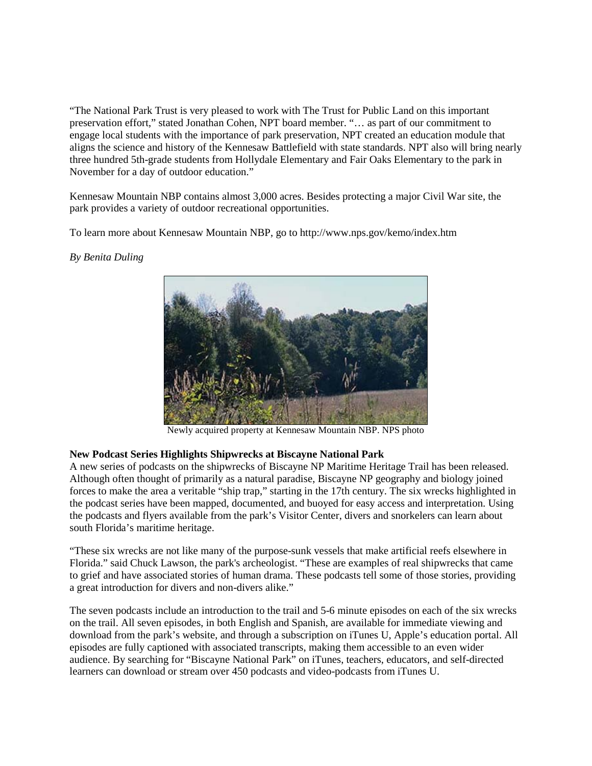"The National Park Trust is very pleased to work with The Trust for Public Land on this important preservation effort," stated Jonathan Cohen, NPT board member. "… as part of our commitment to engage local students with the importance of park preservation, NPT created an education module that aligns the science and history of the Kennesaw Battlefield with state standards. NPT also will bring nearly three hundred 5th-grade students from Hollydale Elementary and Fair Oaks Elementary to the park in November for a day of outdoor education."

Kennesaw Mountain NBP contains almost 3,000 acres. Besides protecting a major Civil War site, the park provides a variety of outdoor recreational opportunities.

To learn more about Kennesaw Mountain NBP, go to http://www.nps.gov/kemo/index.htm

### *By Benita Duling*



Newly acquired property at Kennesaw Mountain NBP. NPS photo

### **New Podcast Series Highlights Shipwrecks at Biscayne National Park**

A new series of podcasts on the shipwrecks of Biscayne NP Maritime Heritage Trail has been released. Although often thought of primarily as a natural paradise, Biscayne NP geography and biology joined forces to make the area a veritable "ship trap," starting in the 17th century. The six wrecks highlighted in the podcast series have been mapped, documented, and buoyed for easy access and interpretation. Using the podcasts and flyers available from the park's Visitor Center, divers and snorkelers can learn about south Florida's maritime heritage.

"These six wrecks are not like many of the purpose-sunk vessels that make artificial reefs elsewhere in Florida." said Chuck Lawson, the park's archeologist. "These are examples of real shipwrecks that came to grief and have associated stories of human drama. These podcasts tell some of those stories, providing a great introduction for divers and non-divers alike."

The seven podcasts include an introduction to the trail and 5-6 minute episodes on each of the six wrecks on the trail. All seven episodes, in both English and Spanish, are available for immediate viewing and download from the park's website, and through a subscription on iTunes U, Apple's education portal. All episodes are fully captioned with associated transcripts, making them accessible to an even wider audience. By searching for "Biscayne National Park" on iTunes, teachers, educators, and self-directed learners can download or stream over 450 podcasts and video-podcasts from iTunes U.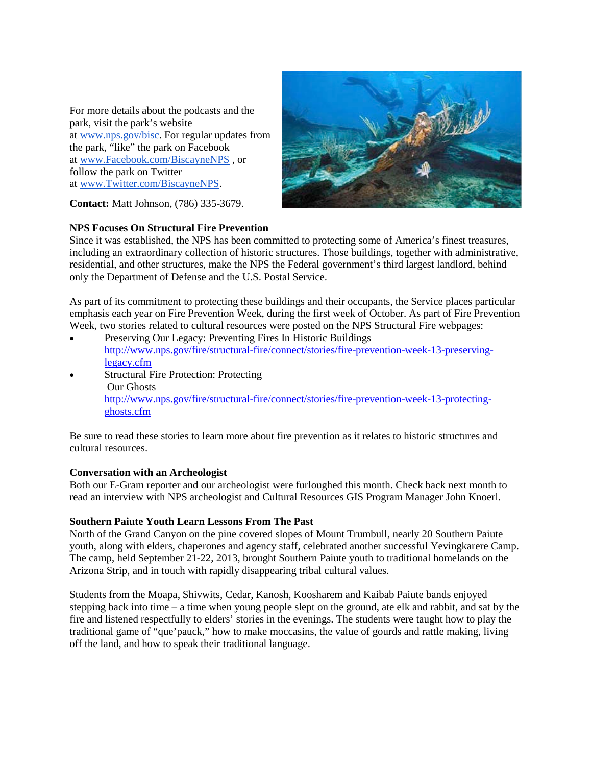For more details about the podcasts and the park, visit the park's website at [www.nps.gov/bisc.](http://www.nps.gov/bisc) For regular updates from the park, "like" the park on Facebook at [www.Facebook.com/BiscayneNPS](http://www.facebook.com/BiscayneNPS) , or follow the park on Twitter at [www.Twitter.com/BiscayneNPS.](http://www.twitter.com/BiscayneNPS)



**Contact:** Matt Johnson, (786) 335-3679.

## **NPS Focuses On Structural Fire Prevention**

Since it was established, the NPS has been committed to protecting some of America's finest treasures, including an extraordinary collection of historic structures. Those buildings, together with administrative, residential, and other structures, make the NPS the Federal government's third largest landlord, behind only the Department of Defense and the U.S. Postal Service.

As part of its commitment to protecting these buildings and their occupants, the Service places particular emphasis each year on Fire Prevention Week, during the first week of October. As part of Fire Prevention Week, two stories related to cultural resources were posted on the NPS Structural Fire webpages:

- Preserving Our Legacy: Preventing Fires In Historic Buildings [http://www.nps.gov/fire/structural-fire/connect/stories/fire-prevention-week-13-preserving](http://www.nps.gov/fire/structural-fire/connect/stories/fire-prevention-week-13-preserving-legacy.cfm)[legacy.cfm](http://www.nps.gov/fire/structural-fire/connect/stories/fire-prevention-week-13-preserving-legacy.cfm)
- **Structural Fire Protection: Protecting** Our Ghosts [http://www.nps.gov/fire/structural-fire/connect/stories/fire-prevention-week-13-protecting](http://www.nps.gov/fire/structural-fire/connect/stories/fire-prevention-week-13-protecting-ghosts.cfm)[ghosts.cfm](http://www.nps.gov/fire/structural-fire/connect/stories/fire-prevention-week-13-protecting-ghosts.cfm)

Be sure to read these stories to learn more about fire prevention as it relates to historic structures and cultural resources.

### **Conversation with an Archeologist**

Both our E-Gram reporter and our archeologist were furloughed this month. Check back next month to read an interview with NPS archeologist and Cultural Resources GIS Program Manager John Knoerl.

### **Southern Paiute Youth Learn Lessons From The Past**

North of the Grand Canyon on the pine covered slopes of Mount Trumbull, nearly 20 Southern Paiute youth, along with elders, chaperones and agency staff, celebrated another successful Yevingkarere Camp. The camp, held September 21-22, 2013, brought Southern Paiute youth to traditional homelands on the Arizona Strip, and in touch with rapidly disappearing tribal cultural values.

Students from the Moapa, Shivwits, Cedar, Kanosh, Koosharem and Kaibab Paiute bands enjoyed stepping back into time – a time when young people slept on the ground, ate elk and rabbit, and sat by the fire and listened respectfully to elders' stories in the evenings. The students were taught how to play the traditional game of "que'pauck," how to make moccasins, the value of gourds and rattle making, living off the land, and how to speak their traditional language.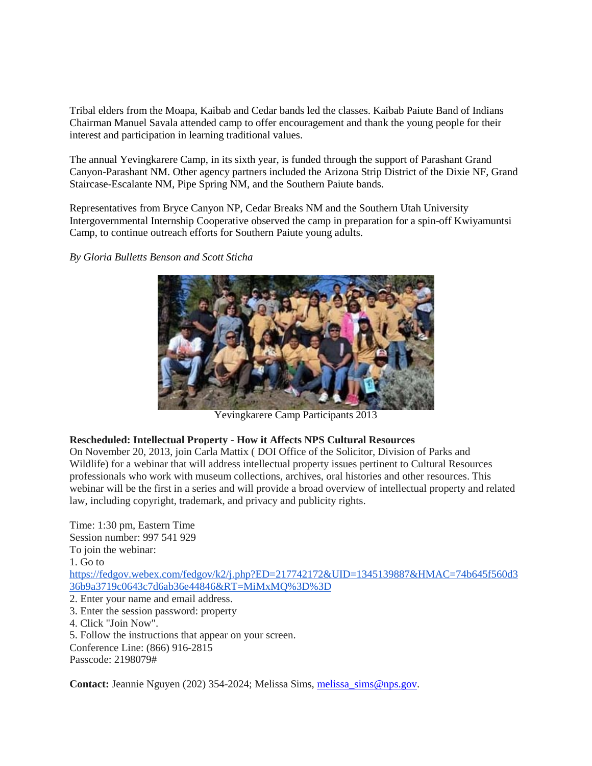Tribal elders from the Moapa, Kaibab and Cedar bands led the classes. Kaibab Paiute Band of Indians Chairman Manuel Savala attended camp to offer encouragement and thank the young people for their interest and participation in learning traditional values.

The annual Yevingkarere Camp, in its sixth year, is funded through the support of Parashant Grand Canyon-Parashant NM. Other agency partners included the Arizona Strip District of the Dixie NF, Grand Staircase-Escalante NM, Pipe Spring NM, and the Southern Paiute bands.

Representatives from Bryce Canyon NP, Cedar Breaks NM and the Southern Utah University Intergovernmental Internship Cooperative observed the camp in preparation for a spin-off Kwiyamuntsi Camp, to continue outreach efforts for Southern Paiute young adults.

*By Gloria Bulletts Benson and Scott Sticha*



Yevingkarere Camp Participants 2013

# **Rescheduled: Intellectual Property - How it Affects NPS Cultural Resources**

On November 20, 2013, join Carla Mattix ( DOI Office of the Solicitor, Division of Parks and Wildlife) for a webinar that will address intellectual property issues pertinent to Cultural Resources professionals who work with museum collections, archives, oral histories and other resources. This webinar will be the first in a series and will provide a broad overview of intellectual property and related law, including copyright, trademark, and privacy and publicity rights.

Time: 1:30 pm, Eastern Time Session number: 997 541 929 To join the webinar: 1. Go to [https://fedgov.webex.com/fedgov/k2/j.php?ED=217742172&UID=1345139887&HMAC=74b645f560d3](https://fedgov.webex.com/fedgov/k2/j.php?ED=217742172&UID=1345139887&HMAC=74b645f560d336b9a3719c0643c7d6ab36e44846&RT=MiMxMQ%3D%3D) [36b9a3719c0643c7d6ab36e44846&RT=MiMxMQ%3D%3D](https://fedgov.webex.com/fedgov/k2/j.php?ED=217742172&UID=1345139887&HMAC=74b645f560d336b9a3719c0643c7d6ab36e44846&RT=MiMxMQ%3D%3D) 2. Enter your name and email address. 3. Enter the session password: property 4. Click "Join Now". 5. Follow the instructions that appear on your screen. Conference Line: (866) 916-2815 Passcode: 2198079#

Contact: Jeannie Nguyen (202) 354-2024; Melissa Sims, [melissa\\_sims@nps.gov.](mailto:melissa_sims@nps.gov)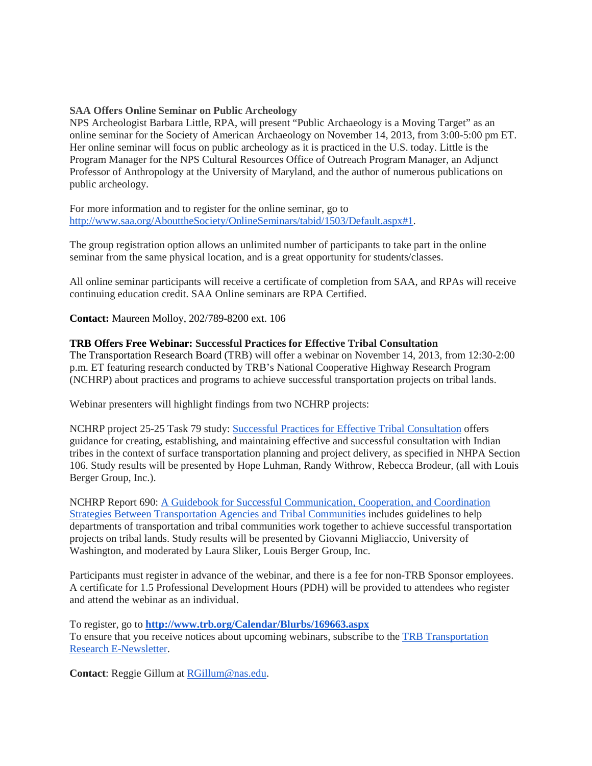### **SAA Offers Online Seminar on Public Archeology**

NPS Archeologist Barbara Little, RPA, will present "Public Archaeology is a Moving Target" as an online seminar for the Society of American Archaeology on November 14, 2013, from 3:00-5:00 pm ET. Her online seminar will focus on public archeology as it is practiced in the U.S. today. Little is the Program Manager for the NPS Cultural Resources Office of Outreach Program Manager, an Adjunct Professor of Anthropology at the University of Maryland, and the author of numerous publications on public archeology.

For more information and to register for the online seminar, go to [http://www.saa.org/AbouttheSociety/OnlineSeminars/tabid/1503/Default.aspx#1.](http://www.saa.org/AbouttheSociety/OnlineSeminars/tabid/1503/Default.aspx#1)

The group registration option allows an unlimited number of participants to take part in the online seminar from the same physical location, and is a great opportunity for students/classes.

All online seminar participants will receive a certificate of completion from SAA, and RPAs will receive continuing education credit. SAA Online seminars are RPA Certified.

**Contact:** Maureen Molloy, 202/789-8200 ext. 106

## **TRB Offers Free Webinar: Successful Practices for Effective Tribal Consultation**

The Transportation Research Board (TRB) will offer a webinar on November 14, 2013, from 12:30-2:00 p.m. ET featuring research conducted by TRB's National Cooperative Highway Research Program (NCHRP) about practices and programs to achieve successful transportation projects on tribal lands.

Webinar presenters will highlight findings from two NCHRP projects:

NCHRP project 25-25 Task 79 study: [Successful Practices for Effective Tribal Consultation](http://onlinepubs.trb.org/onlinepubs/nchrp/docs/NCHRP25-25(79)_FR.pdf) offers guidance for creating, establishing, and maintaining effective and successful consultation with Indian tribes in the context of surface transportation planning and project delivery, as specified in NHPA Section 106. Study results will be presented by Hope Luhman, Randy Withrow, Rebecca Brodeur, (all with Louis Berger Group, Inc.).

NCHRP Report 690: [A Guidebook for Successful Communication, Cooperation, and Coordination](http://www.trb.org/main/Blurbs/165472.aspx)  [Strategies Between Transportation Agencies and Tribal Communities](http://www.trb.org/main/Blurbs/165472.aspx) includes guidelines to help departments of transportation and tribal communities work together to achieve successful transportation projects on tribal lands. Study results will be presented by Giovanni Migliaccio, University of Washington, and moderated by Laura Sliker, Louis Berger Group, Inc.

Participants must register in advance of the webinar, and there is a fee for non-TRB Sponsor employees. A certificate for 1.5 Professional Development Hours (PDH) will be provided to attendees who register and attend the webinar as an individual.

To register, go to **<http://www.trb.org/Calendar/Blurbs/169663.aspx>** To ensure that you receive notices about upcoming webinars, subscribe to the [TRB Transportation](http://www.trb.org/Publications/PubsTRBENewsletter.aspx)  [Research E-Newsletter.](http://www.trb.org/Publications/PubsTRBENewsletter.aspx)

**Contact**: Reggie Gillum at [RGillum@nas.edu.](mailto:RGillum@nas.edu?subject=Question%20about%20November%2014,%202013%20webinar)